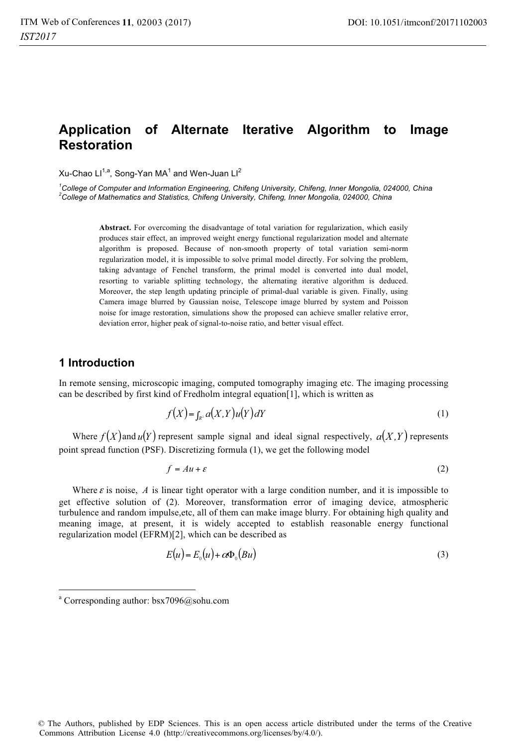# **Application of Alternate Iterative Algorithm to Image Restoration**

Xu-Chao Ll $^{1,a}$ , Song-Yan MA $^1$  and Wen-Juan Ll $^2$ 

<sup>1</sup>College of Computer and Information Engineering, Chifeng University, Chifeng, Inner Mongolia, 024000, China 2<br><sup>2</sup>College of Mothematics and Statistics, Chifeng University, Chifeng, Inner Mongolia, 024000, China *College of Mathematics and Statistics, Chifeng University, Chifeng, Inner Mongolia, 024000, China* 

> **Abstract.** For overcoming the disadvantage of total variation for regularization, which easily produces stair effect, an improved weight energy functional regularization model and alternate algorithm is proposed. Because of non-smooth property of total variation semi-norm regularization model, it is impossible to solve primal model directly. For solving the problem, taking advantage of Fenchel transform, the primal model is converted into dual model, resorting to variable splitting technology, the alternating iterative algorithm is deduced. Moreover, the step length updating principle of primal-dual variable is given. Finally, using Camera image blurred by Gaussian noise, Telescope image blurred by system and Poisson noise for image restoration, simulations show the proposed can achieve smaller relative error, deviation error, higher peak of signal-to-noise ratio, and better visual effect.

## **1 Introduction**

1

In remote sensing, microscopic imaging, computed tomography imaging etc. The imaging processing can be described by first kind of Fredholm integral equation[1], which is written as

$$
f(X) = \int_{\mathbb{R}^2} a(X, Y) u(Y) dY \tag{1}
$$

Where  $f(X)$  and  $u(Y)$  represent sample signal and ideal signal respectively,  $a(X, Y)$  represents point spread function (PSF). Discretizing formula (1), we get the following model

$$
f = Au + \varepsilon \tag{2}
$$

Where  $\varepsilon$  is noise,  $\Lambda$  is linear tight operator with a large condition number, and it is impossible to get effective solution of (2). Moreover, transformation error of imaging device, atmospheric turbulence and random impulse,etc, all of them can make image blurry. For obtaining high quality and meaning image, at present, it is widely accepted to establish reasonable energy functional regularization model (EFRM)[2], which can be described as

$$
E(u) = E_0(u) + \alpha \Phi_0(Bu)
$$
\n(3)

a Corresponding author: bsx7096@sohu.com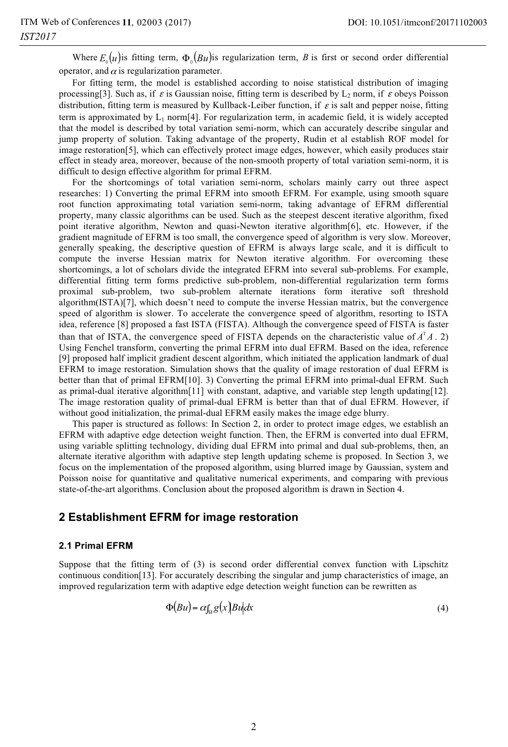Where  $E_{\text{o}}(u)$  is fitting term,  $\Phi_{\text{o}}(Bu)$  is regularization term, *B* is first or second order differential operator, and  $\alpha$  is regularization parameter.

For fitting term, the model is established according to noise statistical distribution of imaging processing[3]. Such as, if  $\varepsilon$  is Gaussian noise, fitting term is described by  $L_2$  norm, if  $\varepsilon$  obeys Poisson distribution, fitting term is measured by Kullback-Leiber function, if  $\varepsilon$  is salt and pepper noise, fitting term is approximated by  $L_1$  norm[4]. For regularization term, in academic field, it is widely accepted that the model is described by total variation semi-norm, which can accurately describe singular and jump property of solution. Taking advantage of the property, Rudin et al establish ROF model for image restoration[5], which can effectively protect image edges, however, which easily produces stair effect in steady area, moreover, because of the non-smooth property of total variation semi-norm, it is difficult to design effective algorithm for primal EFRM.

For the shortcomings of total variation semi-norm, scholars mainly carry out three aspect researches: 1) Converting the primal EFRM into smooth EFRM. For example, using smooth square root function approximating total variation semi-norm, taking advantage of EFRM differential property, many classic algorithms can be used. Such as the steepest descent iterative algorithm, fixed point iterative algorithm, Newton and quasi-Newton iterative algorithm[6], etc. However, if the gradient magnitude of EFRM is too small, the convergence speed of algorithm is very slow. Moreover, generally speaking, the descriptive question of EFRM is always large scale, and it is difficult to compute the inverse Hessian matrix for Newton iterative algorithm. For overcoming these shortcomings, a lot of scholars divide the integrated EFRM into several sub-problems. For example, differential fitting term forms predictive sub-problem, non-differential regularization term forms proximal sub-problem, two sub-problem alternate iterations form iterative soft threshold algorithm(ISTA)[7], which doesn't need to compute the inverse Hessian matrix, but the convergence speed of algorithm is slower. To accelerate the convergence speed of algorithm, resorting to ISTA idea, reference [8] proposed a fast ISTA (FISTA). Although the convergence speed of FISTA is faster than that of ISTA, the convergence speed of FISTA depends on the characteristic value of  $A<sup>T</sup>A$ . 2) Using Fenchel transform, converting the primal EFRM into dual EFRM. Based on the idea, reference [9] proposed half implicit gradient descent algorithm, which initiated the application landmark of dual EFRM to image restoration. Simulation shows that the quality of image restoration of dual EFRM is better than that of primal EFRM[10]. 3) Converting the primal EFRM into primal-dual EFRM. Such as primal-dual iterative algorithm[11] with constant, adaptive, and variable step length updating[12]. The image restoration quality of primal-dual EFRM is better than that of dual EFRM. However, if without good initialization, the primal-dual EFRM easily makes the image edge blurry.

This paper is structured as follows: In Section 2, in order to protect image edges, we establish an EFRM with adaptive edge detection weight function. Then, the EFRM is converted into dual EFRM, using variable splitting technology, dividing dual EFRM into primal and dual sub-problems, then, an alternate iterative algorithm with adaptive step length updating scheme is proposed. In Section 3, we focus on the implementation of the proposed algorithm, using blurred image by Gaussian, system and Poisson noise for quantitative and qualitative numerical experiments, and comparing with previous state-of-the-art algorithms. Conclusion about the proposed algorithm is drawn in Section 4.

## **2 Establishment EFRM for image restoration**

### **2.1 Primal EFRM**

Suppose that the fitting term of (3) is second order differential convex function with Lipschitz continuous condition[13]. For accurately describing the singular and jump characteristics of image, an improved regularization term with adaptive edge detection weight function can be rewritten as

$$
\Phi(Bu) = \alpha \int_{\Omega} g(x) Bu \, dx \tag{4}
$$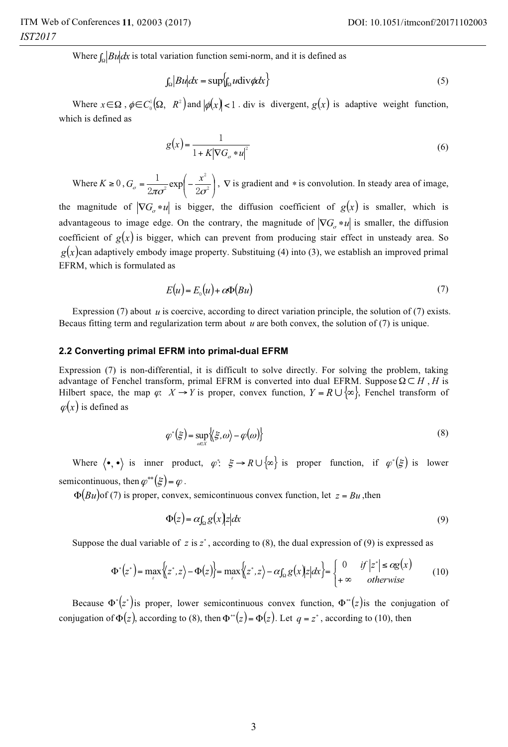Where  $\int_{\Omega} |Bu| dx$  is total variation function semi-norm, and it is defined as

$$
\int_{\Omega} |B u| dx = \sup \{ \int_{\Omega} u \operatorname{div} \phi dx \} \tag{5}
$$

Where  $x \in \Omega$ ,  $\phi \in C_0^1(\Omega, R^2)$  and  $|\phi(x)| < 1$ . div is divergent,  $g(x)$  is adaptive weight function, which is defined as

$$
g(x) = \frac{1}{1 + K|\nabla G_o * u|^2} \tag{6}
$$

Where  $K \geq 0$ ,  $G_{\sigma} = \frac{1}{2} \exp\left(-\frac{x}{2\sigma^2}\right)$ ⎠  $\left(-\frac{x^2}{2}\right)$  $=\frac{1}{2\pi\sigma^2}\exp\left(-\frac{x^2}{2\sigma^2}\right)$  $2\pi\sigma^2$  2  $G_{\sigma} = \frac{1}{2\pi\sigma^2} \exp\left(-\frac{x^2}{2\sigma^2}\right)$ ,  $\nabla$  is gradient and \* is convolution. In steady area of image,

the magnitude of  $|\nabla G_{\sigma} * u|$  is bigger, the diffusion coefficient of  $g(x)$  is smaller, which is advantageous to image edge. On the contrary, the magnitude of  $|\nabla G_{\sigma} * u|$  is smaller, the diffusion coefficient of  $g(x)$  is bigger, which can prevent from producing stair effect in unsteady area. So  $g(x)$ can adaptively embody image property. Substituing (4) into (3), we establish an improved primal EFRM, which is formulated as

$$
E(u) = E_0(u) + c\Phi(Bu)
$$
\n<sup>(7)</sup>

Expression (7) about *u* is coercive, according to direct variation principle, the solution of (7) exists. Becaus fitting term and regularization term about *u* are both convex, the solution of (7) is unique.

### **2.2 Converting primal EFRM into primal-dual EFRM**

Expression (7) is non-differential, it is difficult to solve directly. For solving the problem, taking advantage of Fenchel transform, primal EFRM is converted into dual EFRM. Suppose  $\Omega \subset H$ , *H* is Hilbert space, the map  $\varphi$ :  $X \to Y$  is proper, convex function,  $Y = R \cup {\infty}$ , Fenchel transform of  $\varphi(x)$  is defined as

$$
\varphi^*(\xi) = \sup_{\omega \in X} \left\{ \xi, \omega \right\} - \varphi(\omega) \right\} \tag{8}
$$

Where  $\langle \bullet, \bullet \rangle$  is inner product,  $\varphi^* \colon \xi \to R \cup \{\infty\}$  is proper function, if  $\varphi^*(\xi)$  is lower semicontinuous, then  $\varphi^{**}(\xi) = \varphi$ .

 $\Phi(Bu)$  of (7) is proper, convex, semicontinuous convex function, let  $z = Bu$ , then

$$
\Phi(z) = \alpha \int_{\Omega} g(x) |z| dx \tag{9}
$$

Suppose the dual variable of  $z$  is  $z^*$ , according to (8), the dual expression of (9) is expressed as

$$
\Phi^*(z^*) = \max_z \Big\{ \Big\{ z^*, z \Big\} - \Phi(z) \Big\} = \max_z \Big\{ \Big\{ z^*, z \Big\} - \alpha \int_{\Omega} g(x) \Big\} z \Big| dx \Big\} = \begin{cases} 0 & \text{if } \Big| z^* \Big| \leq \alpha g(x) \\ +\infty & \text{otherwise} \end{cases} \tag{10}
$$

Because  $\Phi^*(z^*)$  is proper, lower semicontinuous convex function,  $\Phi^*(z)$  is the conjugation of conjugation of  $\Phi(z)$ , according to (8), then  $\Phi^{*}(z) = \Phi(z)$ . Let  $q = z^{*}$ , according to (10), then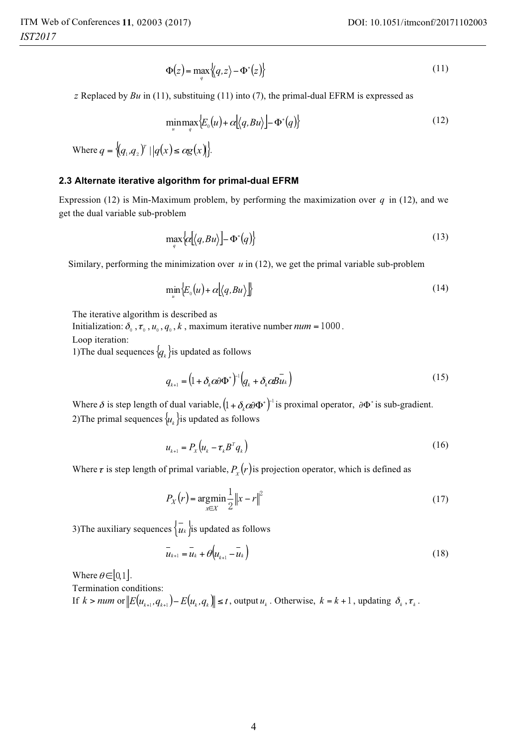$$
\Phi(z) = \max_{a} \left\{ q, z \right\} - \Phi^*(z) \tag{11}
$$

*z* Replaced by  $Bu$  in (11), substituing (11) into (7), the primal-dual EFRM is expressed as

$$
\min_{u} \max_{q} \{ E_{o}(u) + \alpha [\langle q, Bu \rangle ] - \Phi^{*}(q) \} \tag{12}
$$

Where  $q = \{(q_1, q_2)^\text{T} \mid |q(x) \leq \alpha g(x)\}.$ 

### **2.3 Alternate iterative algorithm for primal-dual EFRM**

Expression (12) is Min-Maximum problem, by performing the maximization over *q* in (12), and we get the dual variable sub-problem

$$
\max_{q} \left\{ \alpha \left[ \left\langle q, B u \right\rangle \right] - \Phi^*(q) \right\} \tag{13}
$$

Similary, performing the minimization over *u* in (12), we get the primal variable sub-problem

$$
\min_{u} \left\{ E_{0}(u) + \alpha \left[ \left\langle q, B u \right\rangle \right] \right\} \tag{14}
$$

The iterative algorithm is described as

Initialization:  $\delta_0$ ,  $\tau_0$ ,  $u_0$ ,  $q_0$ ,  $k$ , maximum iterative number  $num = 1000$ .

Loop iteration:

1) The dual sequences  $\{q_k\}$  is updated as follows

$$
q_{k+1} = \left(1 + \delta_k \alpha \partial \Phi^*\right)^{-1} \left(q_k + \delta_k \alpha \overline{B u}_k\right)
$$
\n(15)

Where  $\delta$  is step length of dual variable,  $(1 + \delta_k \alpha \partial \Phi^*)^{-1}$  is proximal operator,  $\partial \Phi^*$  is sub-gradient. 2) The primal sequences  $\{u_k\}$  is updated as follows

$$
u_{k+1} = P_X \left( u_k - \tau_k B^T q_k \right) \tag{16}
$$

Where  $\tau$  is step length of primal variable,  $P_{\rm x}(r)$  is projection operator, which is defined as

$$
P_X(r) = \underset{x \in X}{\text{argmin}} \frac{1}{2} \|x - r\|^2 \tag{17}
$$

3) The auxiliary sequences  $\left\{ u_k \right\}$  is updated as follows

$$
\overline{u}_{k+1} = \overline{u}_k + \theta \Big( u_{k+1} - \overline{u}_k \Big) \tag{18}
$$

Where  $\theta \in [0,1]$ .

Termination conditions:

If  $k > num$  or  $||E(u_{k+1}, q_{k+1}) - E(u_k, q_k)|| \le t$ , output  $u_k$ . Otherwise,  $k = k + 1$ , updating  $\delta_k$ ,  $\tau_k$ .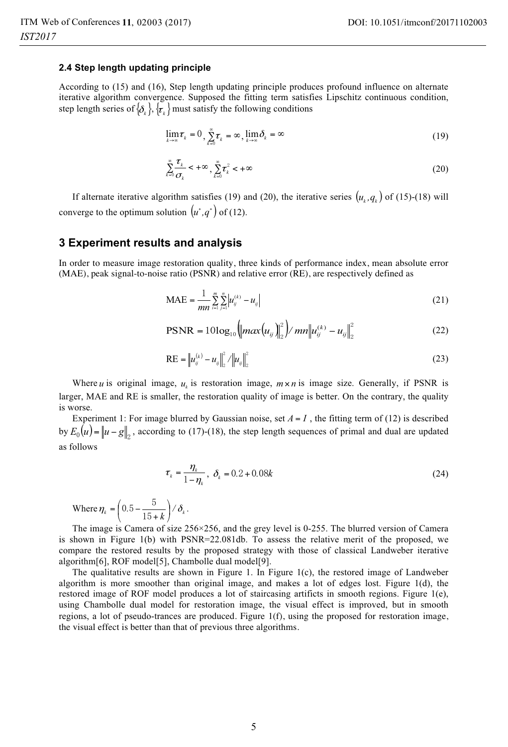#### **2.4 Step length updating principle**

According to (15) and (16), Step length updating principle produces profound influence on alternate iterative algorithm convergence. Supposed the fitting term satisfies Lipschitz continuous condition, step length series of  $\{\delta_k\}$ ,  $\{\bar{\tau}_k\}$  must satisfy the following conditions

$$
\lim_{k \to \infty} \tau_k = 0, \sum_{k=0}^{\infty} \tau_k = \infty, \lim_{k \to \infty} \delta_k = \infty
$$
\n(19)

$$
\sum_{k=0}^{\infty} \frac{\tau_k}{\sigma_k} < +\infty, \quad \sum_{k=0}^{\infty} \tau_k^2 < +\infty \tag{20}
$$

If alternate iterative algorithm satisfies (19) and (20), the iterative series  $(u_k, q_k)$  of (15)-(18) will converge to the optimum solution  $(u^*, q^*)$  of (12).

### **3 Experiment results and analysis**

In order to measure image restoration quality, three kinds of performance index, mean absolute error (MAE), peak signal-to-noise ratio (PSNR) and relative error (RE), are respectively defined as

$$
MAE = \frac{1}{mn} \sum_{i=1}^{m} \sum_{j=1}^{n} |u_{ij}^{(k)} - u_{ij}|
$$
 (21)

$$
PSNR = 10\log_{10}\left(\left|\max(u_{ij})\right|_{2}^{2}\right)/\left|\min(u_{ij}^{(k)} - u_{ij}\right|\right|_{2}^{2}
$$
\n(22)

$$
RE = ||u_{ij}^{(k)} - u_{ij}||_2^2 / ||u_{ij}||_2^2
$$
 (23)

Where *u* is original image,  $u_k$  is restoration image,  $m \times n$  is image size. Generally, if PSNR is larger, MAE and RE is smaller, the restoration quality of image is better. On the contrary, the quality is worse.

Experiment 1: For image blurred by Gaussian noise, set  $A = I$ , the fitting term of (12) is described by  $E_0(u) = ||u - g||_2$ , according to (17)-(18), the step length sequences of primal and dual are updated as follows

$$
\tau_k = \frac{\eta_k}{1 - \eta_k}, \ \delta_k = 0.2 + 0.08k \tag{24}
$$

Where 
$$
\eta_k = \left(0.5 - \frac{5}{15 + k}\right) / \delta_k
$$
.

The image is Camera of size 256×256, and the grey level is 0-255. The blurred version of Camera is shown in Figure 1(b) with PSNR=22.081db. To assess the relative merit of the proposed, we compare the restored results by the proposed strategy with those of classical Landweber iterative algorithm[6], ROF model[5], Chambolle dual model[9].

The qualitative results are shown in Figure 1. In Figure  $1(c)$ , the restored image of Landweber algorithm is more smoother than original image, and makes a lot of edges lost. Figure 1(d), the restored image of ROF model produces a lot of staircasing artificts in smooth regions. Figure 1(e), using Chambolle dual model for restoration image, the visual effect is improved, but in smooth regions, a lot of pseudo-trances are produced. Figure 1(f), using the proposed for restoration image, the visual effect is better than that of previous three algorithms.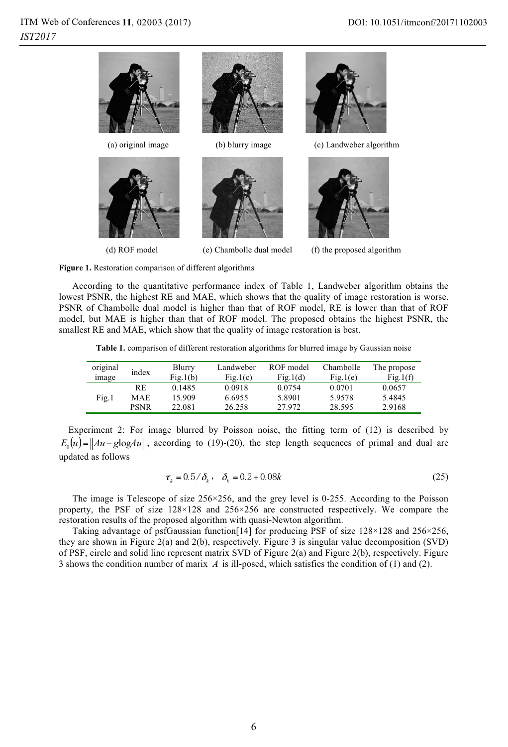

**Figure 1.** Restoration comparison of different algorithms

According to the quantitative performance index of Table 1, Landweber algorithm obtains the lowest PSNR, the highest RE and MAE, which shows that the quality of image restoration is worse. PSNR of Chambolle dual model is higher than that of ROF model, RE is lower than that of ROF model, but MAE is higher than that of ROF model. The proposed obtains the highest PSNR, the smallest RE and MAE, which show that the quality of image restoration is best.

**Table 1.** comparison of different restoration algorithms for blurred image by Gaussian noise

| original<br>image | index       | Blurry<br>Fig.1(b) | Landweber<br>Fig.1(c) | ROF model<br>Fig.1(d) | Chambolle<br>Fig.1(e) | The propose<br>Fig.1(f) |
|-------------------|-------------|--------------------|-----------------------|-----------------------|-----------------------|-------------------------|
| Fig.1             | RE          | 0.1485             | 0.0918                | 0.0754                | 0.0701                | 0.0657                  |
|                   | MAE         | 15.909             | 6.6955                | 5.8901                | 5.9578                | 5.4845                  |
|                   | <b>PSNR</b> | 22.081             | 26.258                | 27.972                | 28.595                | 2.9168                  |

Experiment 2: For image blurred by Poisson noise, the fitting term of (12) is described by  $E_0(u) = ||Au - g\log(u)||$ , according to (19)-(20), the step length sequences of primal and dual are updated as follows

$$
\tau_k = 0.5/\delta_k, \quad \delta_k = 0.2 + 0.08k \tag{25}
$$

The image is Telescope of size 256×256, and the grey level is 0-255. According to the Poisson property, the PSF of size 128×128 and 256×256 are constructed respectively. We compare the restoration results of the proposed algorithm with quasi-Newton algorithm.

Taking advantage of psfGaussian function[14] for producing PSF of size 128×128 and 256×256, they are shown in Figure 2(a) and 2(b), respectively. Figure 3 is singular value decomposition (SVD) of PSF, circle and solid line represent matrix SVD of Figure 2(a) and Figure 2(b), respectively. Figure 3 shows the condition number of marix *A* is ill-posed, which satisfies the condition of (1) and (2).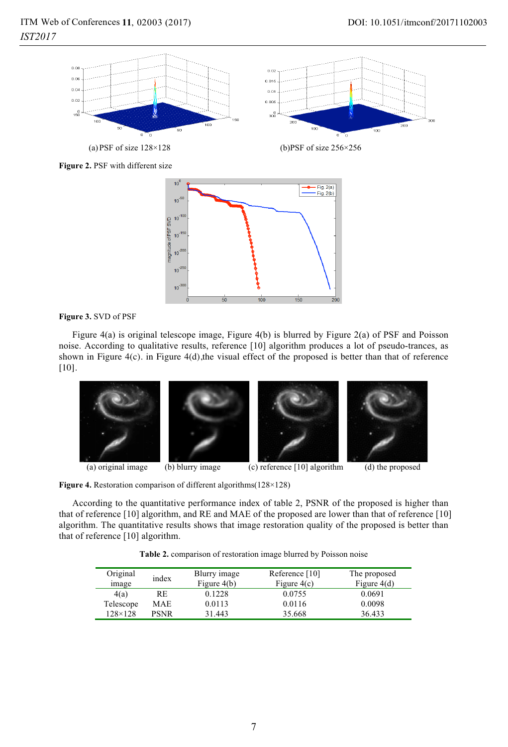

(a) PSF of size  $128\times128$ 

(b)PSF of size  $256\times256$ 

**Figure 2.** PSF with different size



**Figure 3.** SVD of PSF

Figure 4(a) is original telescope image, Figure 4(b) is blurred by Figure 2(a) of PSF and Poisson noise. According to qualitative results, reference [10] algorithm produces a lot of pseudo-trances, as shown in Figure 4(c). in Figure 4(d),the visual effect of the proposed is better than that of reference [10].



**Figure 4.** Restoration comparison of different algorithms(128×128)

According to the quantitative performance index of table 2, PSNR of the proposed is higher than that of reference [10] algorithm, and RE and MAE of the proposed are lower than that of reference [10] algorithm. The quantitative results shows that image restoration quality of the proposed is better than that of reference [10] algorithm.

**Table 2.** comparison of restoration image blurred by Poisson noise

| Original<br>image | index | Blurry image<br>Figure $4(b)$ | Reference $[10]$<br>Figure $4(c)$ | The proposed<br>Figure $4(d)$ |
|-------------------|-------|-------------------------------|-----------------------------------|-------------------------------|
| 4(a)              | RE    | 0.1228                        | 0.0755                            | 0.0691                        |
| Telescope         | MAE   | 0.0113                        | 0.0116                            | 0.0098                        |
| $128 \times 128$  | PSNR  | 31.443                        | 35.668                            | 36.433                        |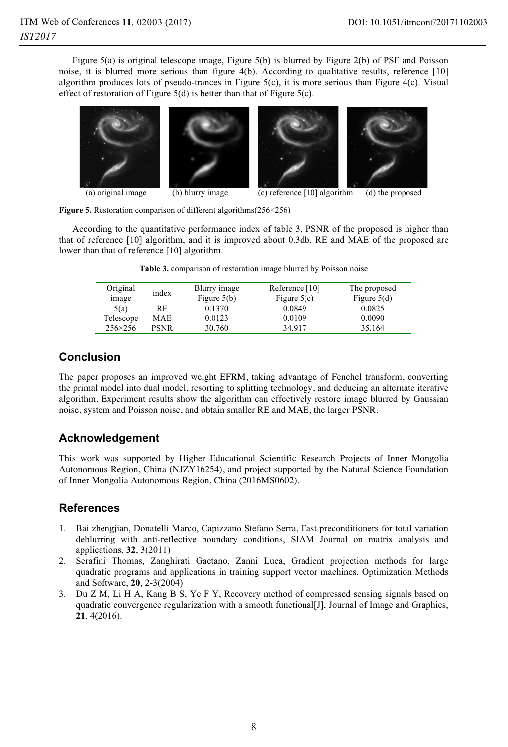Figure 5(a) is original telescope image, Figure 5(b) is blurred by Figure 2(b) of PSF and Poisson noise, it is blurred more serious than figure 4(b). According to qualitative results, reference [10] algorithm produces lots of pseudo-trances in Figure 5(c), it is more serious than Figure 4(c). Visual effect of restoration of Figure 5(d) is better than that of Figure 5(c).



**Figure 5.** Restoration comparison of different algorithms(256×256)

According to the quantitative performance index of table 3, PSNR of the proposed is higher than that of reference [10] algorithm, and it is improved about 0.3db. RE and MAE of the proposed are lower than that of reference [10] algorithm.

| Original<br>image | index       | Blurry image<br>Figure $5(b)$ | Reference $[10]$<br>Figure $5(c)$ | The proposed<br>Figure $5(d)$ |
|-------------------|-------------|-------------------------------|-----------------------------------|-------------------------------|
| 5(a)              | RE          | 0.1370                        | 0.0849                            | 0.0825                        |
| Telescope         | MAE         | 0.0123                        | 0.0109                            | 0.0090                        |
| $256 \times 256$  | <b>PSNR</b> | 30.760                        | 34.917                            | 35.164                        |

|  | <b>Table 3.</b> comparison of restoration image blurred by Poisson noise |  |  |  |
|--|--------------------------------------------------------------------------|--|--|--|
|  |                                                                          |  |  |  |

## **Conclusion**

The paper proposes an improved weight EFRM, taking advantage of Fenchel transform, converting the primal model into dual model, resorting to splitting technology, and deducing an alternate iterative algorithm. Experiment results show the algorithm can effectively restore image blurred by Gaussian noise, system and Poisson noise, and obtain smaller RE and MAE, the larger PSNR.

## **Acknowledgement**

This work was supported by Higher Educational Scientific Research Projects of Inner Mongolia Autonomous Region, China (NJZY16254), and project supported by the Natural Science Foundation of Inner Mongolia Autonomous Region, China (2016MS0602).

## **References**

- 1. Bai zhengjian, Donatelli Marco, Capizzano Stefano Serra, Fast preconditioners for total variation deblurring with anti-reflective boundary conditions, SIAM Journal on matrix analysis and applications, **32**, 3(2011)
- 2. Serafini Thomas, Zanghirati Gaetano, Zanni Luca, Gradient projection methods for large quadratic programs and applications in training support vector machines, Optimization Methods and Software, **20**, 2-3(2004)
- 3. Du Z M, Li H A, Kang B S, Ye F Y, Recovery method of compressed sensing signals based on quadratic convergence regularization with a smooth functional[J], Journal of Image and Graphics, **21**, 4(2016).